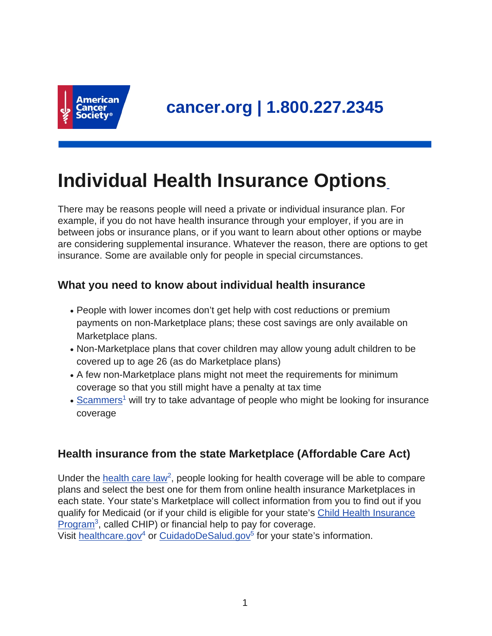

# **Individual Health Insurance Options**

There may be reasons people will need a private or individual insurance plan. For example, if you do not have health insurance through your employer, if you are in between jobs or insurance plans, or if you want to learn about other options or maybe are considering supplemental insurance. Whatever the reason, there are options to get insurance. Some are available only for people in special circumstances.

# **What you need to know about individual health insurance**

- People with lower incomes don't get help with cost reductions or premium payments on non-Marketplace plans; these cost savings are only available on Marketplace plans.
- Non-Marketplace plans that cover children may allow young adult children to be covered up to age 26 (as do Marketplace plans)
- A few non-Marketplace plans might not meet the requirements for minimum coverage so that you still might have a penalty at tax time
- [Scammers](https://www.cancer.org/treatment/finding-and-paying-for-treatment/understanding-health-insurance/health-insurance-scams.html)<sup>1</sup> will try to take advantage of people who might be looking for insurance coverage

# **Health insurance from the state Marketplace (Affordable Care Act)**

Under the [health care law](https://www.acscan.org/content/wp-content/uploads/2013/09/ACS-How-the-ACA-Helps-People-w-Cancer-Revised-7.13.pdf)<sup>2</sup>, people looking for health coverage will be able to compare plans and select the best one for them from online health insurance Marketplaces in each state. Your state's Marketplace will collect information from you to find out if you qualify for Medicaid (or if your child is eligible for your state's [Child Health Insurance](https://www.cancer.org/treatment/finding-and-paying-for-treatment/understanding-health-insurance/government-funded-programs/childrens-health-insurance-program-chip.html) [Program](https://www.cancer.org/treatment/finding-and-paying-for-treatment/understanding-health-insurance/government-funded-programs/childrens-health-insurance-program-chip.html)<sup>3</sup>, called CHIP) or financial help to pay for coverage.

Visit [healthcare.gov](https://www.healthcare.gov/)<sup>4</sup> or [CuidadoDeSalud.gov](https://www.cuidadodesalud.gov/)<sup>5</sup> for your state's information.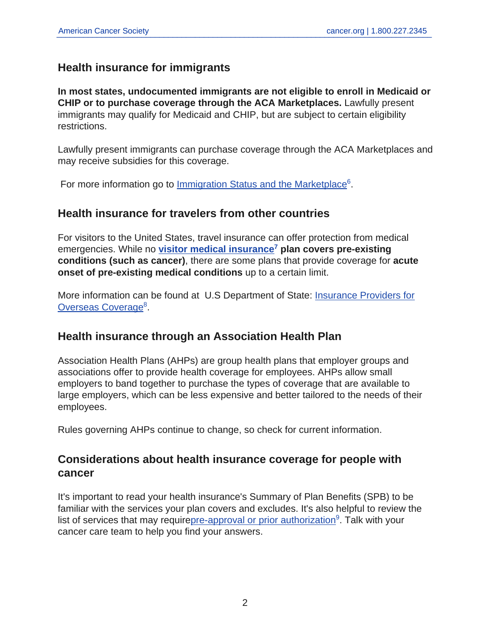## **Health insurance for immigrants**

**In most states, undocumented immigrants are not eligible to enroll in Medicaid or CHIP or to purchase coverage through the ACA Marketplaces.** Lawfully present immigrants may qualify for Medicaid and CHIP, but are subject to certain eligibility restrictions.

Lawfully present immigrants can purchase coverage through the ACA Marketplaces and may receive subsidies for this coverage.

For more information go to *[Immigration Status and the Marketplace](https://www.healthcare.gov/immigrants/immigration-status/)*<sup>6</sup>.

## **Health insurance for travelers from other countries**

For visitors to the United States, travel insurance can offer protection from medical emergencies. While no **[visitor medical insurance](https://www.visitorscoverage.com/visitor-medical-insurance/)<sup>7</sup> plan covers pre-existing conditions (such as cancer)**, there are some plans that provide coverage for **acute onset of pre-existing medical conditions** up to a certain limit.

More information can be found at U.S Department of State: [Insurance Providers for](https://travel.state.gov/content/travel/en/international-travel/before-you-go/your-health-abroad/insurance-providers-overseas.html) [Overseas Coverage](https://travel.state.gov/content/travel/en/international-travel/before-you-go/your-health-abroad/insurance-providers-overseas.html)<sup>8</sup>.

## **Health insurance through an Association Health Plan**

Association Health Plans (AHPs) are group health plans that employer groups and associations offer to provide health coverage for employees. AHPs allow small employers to band together to purchase the types of coverage that are available to large employers, which can be less expensive and better tailored to the needs of their employees.

Rules governing AHPs continue to change, so check for current information.

## **Considerations about health insurance coverage for people with cancer**

It's important to read your health insurance's Summary of Plan Benefits (SPB) to be familiar with the services your plan covers and excludes. It's also helpful to review the list of services that may requir[epre-approval or prior authorization](https://www.cancer.org/treatment/finding-and-paying-for-treatment/understanding-health-insurance/managing-health-insurance/getting-medical-pre-approval-or-prior-authorization.html)<sup>9</sup>. Talk with your cancer care team to help you find your answers.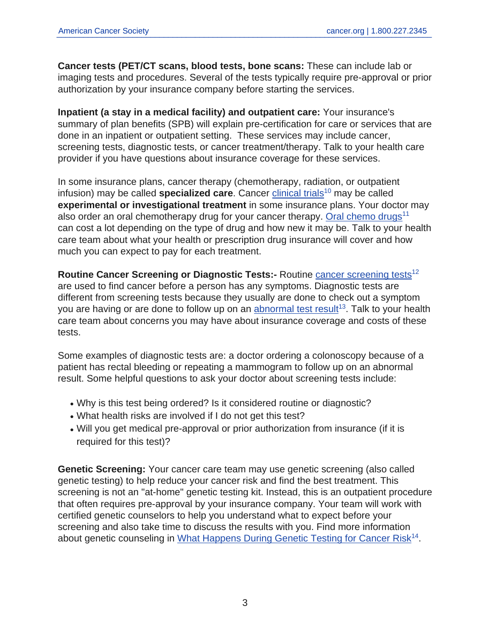**Cancer tests (PET/CT scans, blood tests, bone scans:** These can include lab or imaging tests and procedures. Several of the tests typically require pre-approval or prior authorization by your insurance company before starting the services.

**Inpatient (a stay in a medical facility) and outpatient care:** Your insurance's summary of plan benefits (SPB) will explain pre-certification for care or services that are done in an inpatient or outpatient setting. These services may include cancer, screening tests, diagnostic tests, or cancer treatment/therapy. Talk to your health care provider if you have questions about insurance coverage for these services.

In some insurance plans, cancer therapy (chemotherapy, radiation, or outpatient infusion) may be called **specialized care**. Cancer [clinical trials](https://www.cancer.org/treatment/treatments-and-side-effects/clinical-trials.html)<sup>10</sup> may be called **experimental or investigational treatment** in some insurance plans. Your doctor may also order an oral chemotherapy drug for your cancer therapy. [Oral chemo drugs](https://www.cancer.org/treatment/treatments-and-side-effects/treatment-types/chemotherapy/oral-chemotherapy.html)<sup>11</sup> can cost a lot depending on the type of drug and how new it may be. Talk to your health care team about what your health or prescription drug insurance will cover and how much you can expect to pay for each treatment.

**Routine Cancer Screening or Diagnostic Tests:-** Routine [cancer screening tests](https://www.cancer.org/healthy/find-cancer-early.html)<sup>12</sup> are used to find cancer before a person has any symptoms. Diagnostic tests are different from screening tests because they usually are done to check out a symptom you are having or are done to follow up on an [abnormal test result](https://www.cancer.org/treatment/understanding-your-diagnosis/tests.html)<sup>13</sup>. Talk to your health care team about concerns you may have about insurance coverage and costs of these tests.

Some examples of diagnostic tests are: a doctor ordering a colonoscopy because of a patient has rectal bleeding or repeating a mammogram to follow up on an abnormal result. Some helpful questions to ask your doctor about screening tests include:

- Why is this test being ordered? Is it considered routine or diagnostic?
- What health risks are involved if I do not get this test?
- Will you get medical pre-approval or prior authorization from insurance (if it is required for this test)?

**Genetic Screening:** Your cancer care team may use genetic screening (also called genetic testing) to help reduce your cancer risk and find the best treatment. This screening is not an "at-home" genetic testing kit. Instead, this is an outpatient procedure that often requires pre-approval by your insurance company. Your team will work with certified genetic counselors to help you understand what to expect before your screening and also take time to discuss the results with you. Find more information about genetic counseling in [What Happens During Genetic Testing for Cancer Risk](https://www.cancer.org/cancer/cancer-causes/genetics/what-happens-during-genetic-testing-for-cancer.html)<sup>14</sup>.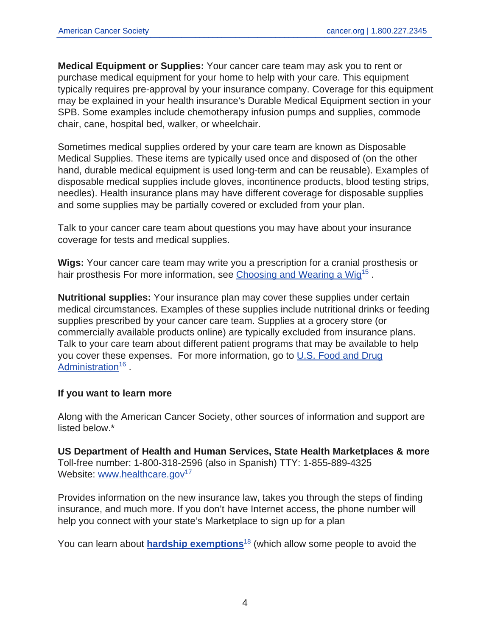**Medical Equipment or Supplies:** Your cancer care team may ask you to rent or purchase medical equipment for your home to help with your care. This equipment typically requires pre-approval by your insurance company. Coverage for this equipment may be explained in your health insurance's Durable Medical Equipment section in your SPB. Some examples include chemotherapy infusion pumps and supplies, commode chair, cane, hospital bed, walker, or wheelchair.

Sometimes medical supplies ordered by your care team are known as Disposable Medical Supplies. These items are typically used once and disposed of (on the other hand, durable medical equipment is used long-term and can be reusable). Examples of disposable medical supplies include gloves, incontinence products, blood testing strips, needles). Health insurance plans may have different coverage for disposable supplies and some supplies may be partially covered or excluded from your plan.

Talk to your cancer care team about questions you may have about your insurance coverage for tests and medical supplies.

**Wigs:** Your cancer care team may write you a prescription for a cranial prosthesis or hair prosthesis For more information, see [Choosing and Wearing a Wig](https://www.cancer.org/treatment/treatments-and-side-effects/physical-side-effects/hair-loss/choosing-and-wearing-wig.html)<sup>15</sup>.

**Nutritional supplies:** Your insurance plan may cover these supplies under certain medical circumstances. Examples of these supplies include nutritional drinks or feeding supplies prescribed by your cancer care team. Supplies at a grocery store (or commercially available products online) are typically excluded from insurance plans. Talk to your care team about different patient programs that may be available to help you cover these expenses. For more information, go to [U.S. Food and Drug](https://www.fda.gov/food/guidance-documents-regulatory-information-topic-food-and-dietary-supplements/medical-foods-guidance-documents-regulatory-information) [Administration](https://www.fda.gov/food/guidance-documents-regulatory-information-topic-food-and-dietary-supplements/medical-foods-guidance-documents-regulatory-information)<sup>16</sup>.

#### **If you want to learn more**

Along with the American Cancer Society, other sources of information and support are listed below.\*

**US Department of Health and Human Services, State Health Marketplaces & more** Toll-free number: 1-800-318-2596 (also in Spanish) TTY: 1-855-889-4325 Website: [www.healthcare.gov](https://www.healthcare.gov/)<sup>17</sup>

Provides information on the new insurance law, takes you through the steps of finding insurance, and much more. If you don't have Internet access, the phone number will help you connect with your state's Marketplace to sign up for a plan

You can learn about **hardship exemptions**<sup>18</sup> (which allow some people to avoid the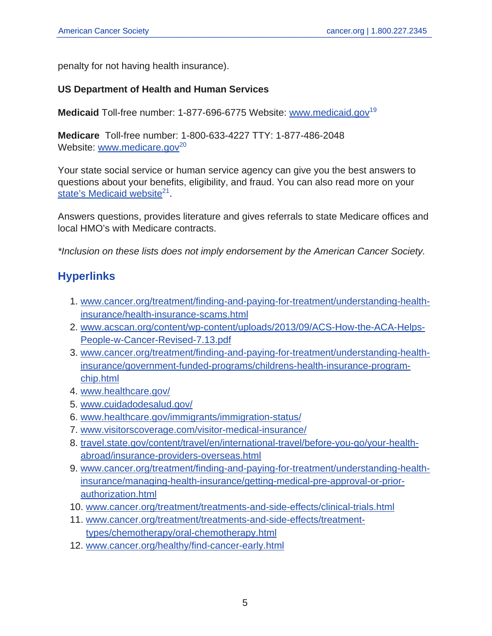penalty for not having health insurance).

#### **US Department of Health and Human Services**

**Medicaid** Toll-free number: 1-877-696-6775 Website: [www.medicaid.gov](https://www.medicaid.gov)<sup>19</sup>

**Medicare** Toll-free number: 1-800-633-4227 TTY: 1-877-486-2048 Website: [www.medicare.gov](https://www.medicare.gov/)<sup>20</sup>

Your state social service or human service agency can give you the best answers to questions about your benefits, eligibility, and fraud. You can also read more on your [state's Medicaid website](https://www.medicaid.gov/state-resource-center/index.html)<sup>21</sup>.

Answers questions, provides literature and gives referrals to state Medicare offices and local HMO's with Medicare contracts.

\*Inclusion on these lists does not imply endorsement by the American Cancer Society.

## **Hyperlinks**

- 1. [www.cancer.org/treatment/finding-and-paying-for-treatment/understanding-health](https://www.cancer.org/treatment/finding-and-paying-for-treatment/understanding-health-insurance/health-insurance-scams.html)[insurance/health-insurance-scams.html](https://www.cancer.org/treatment/finding-and-paying-for-treatment/understanding-health-insurance/health-insurance-scams.html)
- 2. [www.acscan.org/content/wp-content/uploads/2013/09/ACS-How-the-ACA-Helps-](https://www.acscan.org/content/wp-content/uploads/2013/09/ACS-How-the-ACA-Helps-People-w-Cancer-Revised-7.13.pdf)[People-w-Cancer-Revised-7.13.pdf](https://www.acscan.org/content/wp-content/uploads/2013/09/ACS-How-the-ACA-Helps-People-w-Cancer-Revised-7.13.pdf)
- 3. [www.cancer.org/treatment/finding-and-paying-for-treatment/understanding-health](https://www.cancer.org/treatment/finding-and-paying-for-treatment/understanding-health-insurance/government-funded-programs/childrens-health-insurance-program-chip.html)[insurance/government-funded-programs/childrens-health-insurance-program](https://www.cancer.org/treatment/finding-and-paying-for-treatment/understanding-health-insurance/government-funded-programs/childrens-health-insurance-program-chip.html)[chip.html](https://www.cancer.org/treatment/finding-and-paying-for-treatment/understanding-health-insurance/government-funded-programs/childrens-health-insurance-program-chip.html)
- 4. [www.healthcare.gov/](https://www.healthcare.gov/)
- 5. [www.cuidadodesalud.gov/](https://www.cuidadodesalud.gov/)
- 6. [www.healthcare.gov/immigrants/immigration-status/](https://www.healthcare.gov/immigrants/immigration-status/)
- 7. [www.visitorscoverage.com/visitor-medical-insurance/](https://www.visitorscoverage.com/visitor-medical-insurance/)
- 8. [travel.state.gov/content/travel/en/international-travel/before-you-go/your-health](https://travel.state.gov/content/travel/en/international-travel/before-you-go/your-health-abroad/insurance-providers-overseas.html)[abroad/insurance-providers-overseas.html](https://travel.state.gov/content/travel/en/international-travel/before-you-go/your-health-abroad/insurance-providers-overseas.html)
- 9. [www.cancer.org/treatment/finding-and-paying-for-treatment/understanding-health](https://www.cancer.org/treatment/finding-and-paying-for-treatment/understanding-health-insurance/managing-health-insurance/getting-medical-pre-approval-or-prior-authorization.html)[insurance/managing-health-insurance/getting-medical-pre-approval-or-prior](https://www.cancer.org/treatment/finding-and-paying-for-treatment/understanding-health-insurance/managing-health-insurance/getting-medical-pre-approval-or-prior-authorization.html)[authorization.html](https://www.cancer.org/treatment/finding-and-paying-for-treatment/understanding-health-insurance/managing-health-insurance/getting-medical-pre-approval-or-prior-authorization.html)
- 10. [www.cancer.org/treatment/treatments-and-side-effects/clinical-trials.html](https://www.cancer.org/treatment/treatments-and-side-effects/clinical-trials.html)
- 11. [www.cancer.org/treatment/treatments-and-side-effects/treatment](https://www.cancer.org/treatment/treatments-and-side-effects/treatment-types/chemotherapy/oral-chemotherapy.html)[types/chemotherapy/oral-chemotherapy.html](https://www.cancer.org/treatment/treatments-and-side-effects/treatment-types/chemotherapy/oral-chemotherapy.html)
- 12. [www.cancer.org/healthy/find-cancer-early.html](https://www.cancer.org/healthy/find-cancer-early.html)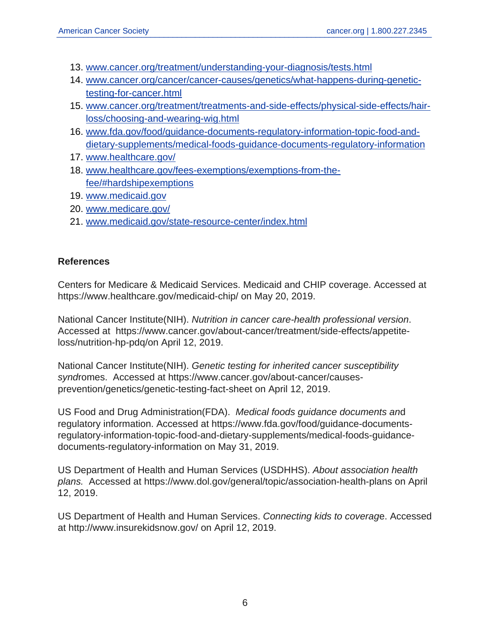- 13. [www.cancer.org/treatment/understanding-your-diagnosis/tests.html](https://www.cancer.org/treatment/understanding-your-diagnosis/tests.html)
- 14. [www.cancer.org/cancer/cancer-causes/genetics/what-happens-during-genetic](https://www.cancer.org/cancer/cancer-causes/genetics/what-happens-during-genetic-testing-for-cancer.html)[testing-for-cancer.html](https://www.cancer.org/cancer/cancer-causes/genetics/what-happens-during-genetic-testing-for-cancer.html)
- 15. [www.cancer.org/treatment/treatments-and-side-effects/physical-side-effects/hair](https://www.cancer.org/treatment/treatments-and-side-effects/physical-side-effects/hair-loss/choosing-and-wearing-wig.html)[loss/choosing-and-wearing-wig.html](https://www.cancer.org/treatment/treatments-and-side-effects/physical-side-effects/hair-loss/choosing-and-wearing-wig.html)
- 16. [www.fda.gov/food/guidance-documents-regulatory-information-topic-food-and](https://www.fda.gov/food/guidance-documents-regulatory-information-topic-food-and-dietary-supplements/medical-foods-guidance-documents-regulatory-information)[dietary-supplements/medical-foods-guidance-documents-regulatory-information](https://www.fda.gov/food/guidance-documents-regulatory-information-topic-food-and-dietary-supplements/medical-foods-guidance-documents-regulatory-information)
- 17. [www.healthcare.gov/](https://www.healthcare.gov/)
- 18. [www.healthcare.gov/fees-exemptions/exemptions-from-the](https://www.healthcare.gov/fees-exemptions/exemptions-from-the-fee/#hardshipexemptions)[fee/#hardshipexemptions](https://www.healthcare.gov/fees-exemptions/exemptions-from-the-fee/#hardshipexemptions)
- 19. [www.medicaid.gov](https://www.medicaid.gov)
- 20. [www.medicare.gov/](https://www.medicare.gov/)
- 21. [www.medicaid.gov/state-resource-center/index.html](https://www.medicaid.gov/state-resource-center/index.html)

#### **References**

Centers for Medicare & Medicaid Services. Medicaid and CHIP coverage. Accessed at https://www.healthcare.gov/medicaid-chip/ on May 20, 2019.

National Cancer Institute(NIH). Nutrition in cancer care-health professional version. Accessed at https://www.cancer.gov/about-cancer/treatment/side-effects/appetiteloss/nutrition-hp-pdq/on April 12, 2019.

National Cancer Institute(NIH). Genetic testing for inherited cancer susceptibility syndromes. Accessed at https://www.cancer.gov/about-cancer/causesprevention/genetics/genetic-testing-fact-sheet on April 12, 2019.

US Food and Drug Administration(FDA). Medical foods guidance documents and regulatory information. Accessed at https://www.fda.gov/food/guidance-documentsregulatory-information-topic-food-and-dietary-supplements/medical-foods-guidancedocuments-regulatory-information on May 31, 2019.

US Department of Health and Human Services (USDHHS). About association health plans. Accessed at https://www.dol.gov/general/topic/association-health-plans on April 12, 2019.

US Department of Health and Human Services. Connecting kids to coverage. Accessed at http://www.insurekidsnow.gov/ on April 12, 2019.